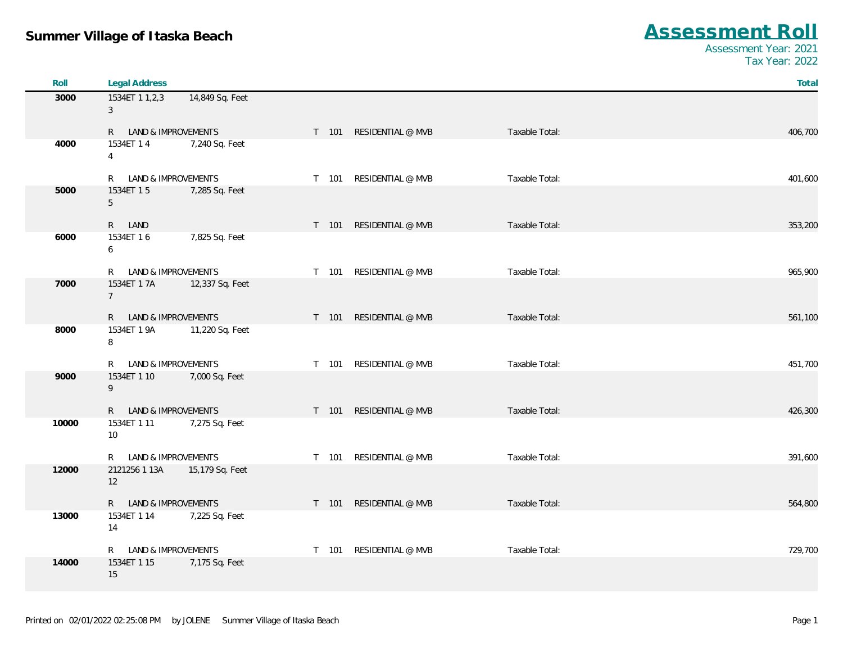| Roll  | <b>Legal Address</b>           |                 |       |                         |                | Total   |
|-------|--------------------------------|-----------------|-------|-------------------------|----------------|---------|
| 3000  | 1534ET 1 1,2,3<br>$\mathbf{3}$ | 14,849 Sq. Feet |       |                         |                |         |
|       | R LAND & IMPROVEMENTS          |                 |       | T 101 RESIDENTIAL @ MVB | Taxable Total: | 406,700 |
| 4000  | 1534ET 14<br>$\overline{4}$    | 7,240 Sq. Feet  |       |                         |                |         |
|       | R LAND & IMPROVEMENTS          |                 | T 101 | RESIDENTIAL @ MVB       | Taxable Total: | 401,600 |
| 5000  | 1534ET 15<br>5                 | 7,285 Sq. Feet  |       |                         |                |         |
|       | R LAND                         |                 |       | T 101 RESIDENTIAL @ MVB | Taxable Total: | 353,200 |
| 6000  | 1534ET 16<br>6                 | 7,825 Sq. Feet  |       |                         |                |         |
|       | R LAND & IMPROVEMENTS          |                 | T 101 | RESIDENTIAL @ MVB       | Taxable Total: | 965,900 |
| 7000  | 1534ET 1 7A<br>$7^{\circ}$     | 12,337 Sq. Feet |       |                         |                |         |
|       | R LAND & IMPROVEMENTS          |                 |       | T 101 RESIDENTIAL @ MVB | Taxable Total: | 561,100 |
| 8000  | 1534ET 1 9A<br>8               | 11,220 Sq. Feet |       |                         |                |         |
|       | R LAND & IMPROVEMENTS          |                 | T 101 | RESIDENTIAL @ MVB       | Taxable Total: | 451,700 |
| 9000  | 1534ET 1 10<br>9               | 7,000 Sq. Feet  |       |                         |                |         |
|       | R LAND & IMPROVEMENTS          |                 | T 101 | RESIDENTIAL @ MVB       | Taxable Total: | 426,300 |
| 10000 | 1534ET 1 11<br>10              | 7,275 Sq. Feet  |       |                         |                |         |
|       | R LAND & IMPROVEMENTS          |                 | T 101 | RESIDENTIAL @ MVB       | Taxable Total: | 391,600 |
| 12000 | 2121256 1 13A<br>12            | 15,179 Sq. Feet |       |                         |                |         |
|       | R LAND & IMPROVEMENTS          |                 | T 101 | RESIDENTIAL @ MVB       | Taxable Total: | 564,800 |
| 13000 | 1534ET 1 14<br>14              | 7,225 Sq. Feet  |       |                         |                |         |
|       | R LAND & IMPROVEMENTS          |                 | T 101 | RESIDENTIAL @ MVB       | Taxable Total: | 729,700 |
| 14000 | 1534ET 1 15<br>15              | 7,175 Sq. Feet  |       |                         |                |         |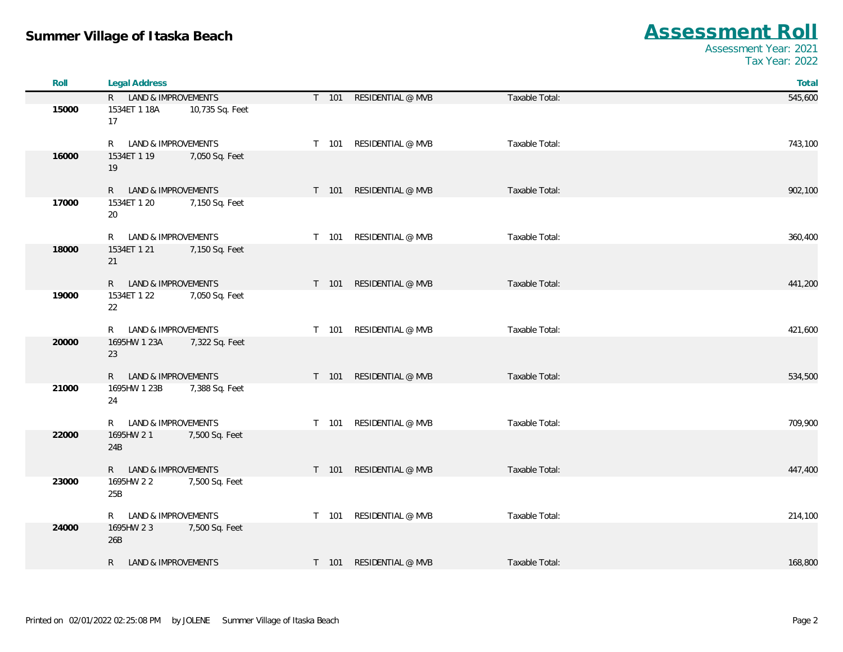| Roll  | <b>Legal Address</b>  |                 |       |                         |                | Total   |
|-------|-----------------------|-----------------|-------|-------------------------|----------------|---------|
|       | R LAND & IMPROVEMENTS |                 |       | T 101 RESIDENTIAL @ MVB | Taxable Total: | 545,600 |
| 15000 | 1534ET 1 18A<br>17    | 10,735 Sq. Feet |       |                         |                |         |
|       | R LAND & IMPROVEMENTS |                 |       | T 101 RESIDENTIAL @ MVB | Taxable Total: | 743,100 |
| 16000 | 1534ET 1 19<br>19     | 7,050 Sq. Feet  |       |                         |                |         |
|       | R LAND & IMPROVEMENTS |                 |       | T 101 RESIDENTIAL @ MVB | Taxable Total: | 902,100 |
| 17000 | 1534ET 1 20<br>20     | 7,150 Sq. Feet  |       |                         |                |         |
|       | R LAND & IMPROVEMENTS |                 | T 101 | RESIDENTIAL @ MVB       | Taxable Total: | 360,400 |
| 18000 | 1534ET 1 21<br>21     | 7,150 Sq. Feet  |       |                         |                |         |
|       | R LAND & IMPROVEMENTS |                 |       | T 101 RESIDENTIAL @ MVB | Taxable Total: | 441,200 |
| 19000 | 1534ET 1 22<br>22     | 7,050 Sq. Feet  |       |                         |                |         |
|       | R LAND & IMPROVEMENTS |                 |       | T 101 RESIDENTIAL @ MVB | Taxable Total: | 421,600 |
| 20000 | 1695HW 1 23A<br>23    | 7,322 Sq. Feet  |       |                         |                |         |
|       | R LAND & IMPROVEMENTS |                 |       | T 101 RESIDENTIAL @ MVB | Taxable Total: | 534,500 |
| 21000 | 1695HW 1 23B<br>24    | 7,388 Sq. Feet  |       |                         |                |         |
|       | R LAND & IMPROVEMENTS |                 |       | T 101 RESIDENTIAL @ MVB | Taxable Total: | 709,900 |
| 22000 | 1695HW 2 1<br>24B     | 7,500 Sq. Feet  |       |                         |                |         |
|       | R LAND & IMPROVEMENTS |                 |       | T 101 RESIDENTIAL @ MVB | Taxable Total: | 447,400 |
| 23000 | 1695HW 2 2<br>25B     | 7,500 Sq. Feet  |       |                         |                |         |
|       | R LAND & IMPROVEMENTS |                 | T 101 | RESIDENTIAL @ MVB       | Taxable Total: | 214,100 |
| 24000 | 1695HW 2 3<br>26B     | 7,500 Sq. Feet  |       |                         |                |         |
|       | R LAND & IMPROVEMENTS |                 |       | T 101 RESIDENTIAL @ MVB | Taxable Total: | 168,800 |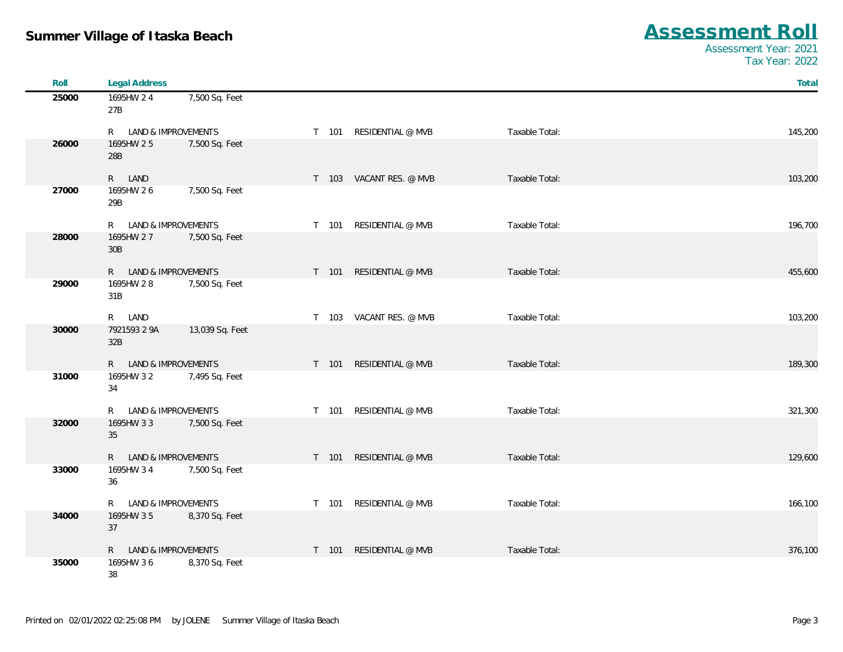| Roll  | <b>Legal Address</b>               |                 |       |                         |                | Total   |
|-------|------------------------------------|-----------------|-------|-------------------------|----------------|---------|
| 25000 | 1695HW 2 4                         | 7,500 Sq. Feet  |       |                         |                |         |
|       | 27B                                |                 |       |                         |                |         |
|       | R LAND & IMPROVEMENTS              |                 |       | T 101 RESIDENTIAL @ MVB | Taxable Total: | 145,200 |
| 26000 | 1695HW 25                          | 7,500 Sq. Feet  |       |                         |                |         |
|       | 28B                                |                 |       |                         |                |         |
|       | R LAND                             |                 |       | T 103 VACANT RES. @ MVB | Taxable Total: | 103,200 |
| 27000 | 1695HW 26                          | 7,500 Sq. Feet  |       |                         |                |         |
|       | 29B                                |                 |       |                         |                |         |
|       |                                    |                 |       | T 101 RESIDENTIAL @ MVB |                |         |
| 28000 | R LAND & IMPROVEMENTS<br>1695HW 27 | 7,500 Sq. Feet  |       |                         | Taxable Total: | 196,700 |
|       | 30B                                |                 |       |                         |                |         |
|       |                                    |                 |       |                         |                |         |
| 29000 | R LAND & IMPROVEMENTS<br>1695HW 28 | 7,500 Sq. Feet  |       | T 101 RESIDENTIAL @ MVB | Taxable Total: | 455,600 |
|       | 31B                                |                 |       |                         |                |         |
|       |                                    |                 |       |                         |                |         |
|       | R LAND                             |                 |       | T 103 VACANT RES. @ MVB | Taxable Total: | 103,200 |
| 30000 | 7921593 2 9A<br>32B                | 13,039 Sq. Feet |       |                         |                |         |
|       |                                    |                 |       |                         |                |         |
|       | R LAND & IMPROVEMENTS              |                 | T 101 | RESIDENTIAL @ MVB       | Taxable Total: | 189,300 |
| 31000 | 1695HW 3 2<br>34                   | 7,495 Sq. Feet  |       |                         |                |         |
|       |                                    |                 |       |                         |                |         |
|       | LAND & IMPROVEMENTS<br>R.          |                 | T 101 | RESIDENTIAL @ MVB       | Taxable Total: | 321,300 |
| 32000 | 1695HW 33                          | 7,500 Sq. Feet  |       |                         |                |         |
|       | 35                                 |                 |       |                         |                |         |
|       | LAND & IMPROVEMENTS<br>R           |                 | T 101 | RESIDENTIAL @ MVB       | Taxable Total: | 129,600 |
| 33000 | 1695HW 34                          | 7,500 Sq. Feet  |       |                         |                |         |
|       | 36                                 |                 |       |                         |                |         |
|       | R LAND & IMPROVEMENTS              |                 |       | T 101 RESIDENTIAL @ MVB | Taxable Total: | 166,100 |
| 34000 | 1695HW 35                          | 8,370 Sq. Feet  |       |                         |                |         |
|       | 37                                 |                 |       |                         |                |         |
|       | R LAND & IMPROVEMENTS              |                 | T 101 | RESIDENTIAL @ MVB       | Taxable Total: | 376,100 |
| 35000 | 1695HW 36                          | 8,370 Sq. Feet  |       |                         |                |         |
|       | 38                                 |                 |       |                         |                |         |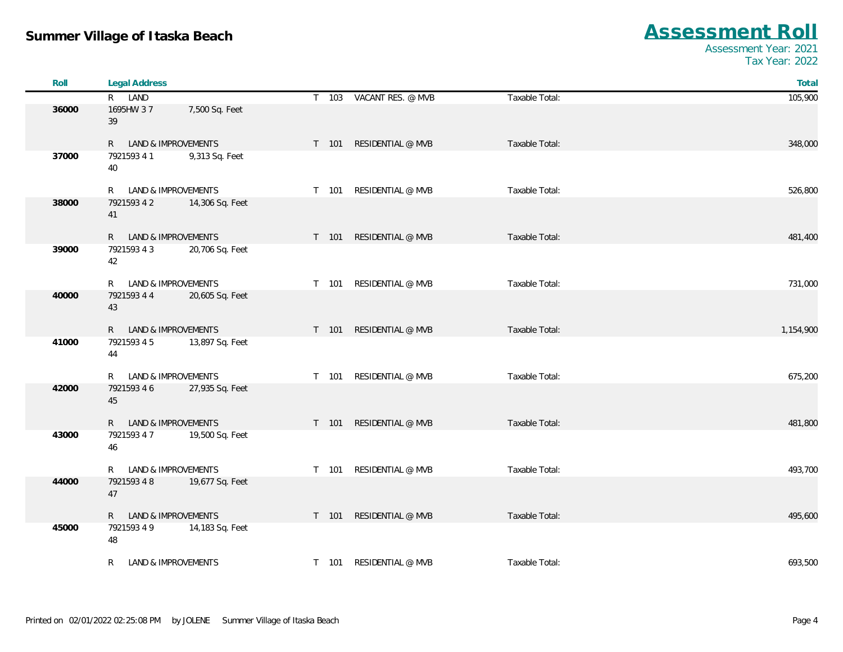| Roll  | <b>Legal Address</b>  |                     |       |                         |                | Total     |
|-------|-----------------------|---------------------|-------|-------------------------|----------------|-----------|
|       | R LAND                |                     |       | T 103 VACANT RES. @ MVB | Taxable Total: | 105,900   |
| 36000 | 1695HW 37<br>39       | 7,500 Sq. Feet      |       |                         |                |           |
|       | R LAND & IMPROVEMENTS |                     |       | T 101 RESIDENTIAL @ MVB | Taxable Total: | 348,000   |
| 37000 | 7921593 4 1<br>40     | 9,313 Sq. Feet      |       |                         |                |           |
|       | R                     | LAND & IMPROVEMENTS |       | T 101 RESIDENTIAL @ MVB | Taxable Total: | 526,800   |
| 38000 | 7921593 4 2<br>41     | 14,306 Sq. Feet     |       |                         |                |           |
|       | R LAND & IMPROVEMENTS |                     |       | T 101 RESIDENTIAL @ MVB | Taxable Total: | 481,400   |
| 39000 | 7921593 4 3<br>42     | 20,706 Sq. Feet     |       |                         |                |           |
|       | R                     | LAND & IMPROVEMENTS |       | T 101 RESIDENTIAL @ MVB | Taxable Total: | 731,000   |
| 40000 | 7921593 4 4<br>43     | 20,605 Sq. Feet     |       |                         |                |           |
|       | R LAND & IMPROVEMENTS |                     |       | T 101 RESIDENTIAL @ MVB | Taxable Total: | 1,154,900 |
| 41000 | 7921593 4 5<br>44     | 13,897 Sq. Feet     |       |                         |                |           |
|       | R —                   | LAND & IMPROVEMENTS |       | T 101 RESIDENTIAL @ MVB | Taxable Total: | 675,200   |
| 42000 | 7921593 4 6<br>45     | 27,935 Sq. Feet     |       |                         |                |           |
|       | R LAND & IMPROVEMENTS |                     | T 101 | RESIDENTIAL @ MVB       | Taxable Total: | 481,800   |
| 43000 | 7921593 4 7<br>46     | 19,500 Sq. Feet     |       |                         |                |           |
|       | R.                    | LAND & IMPROVEMENTS |       | T 101 RESIDENTIAL @ MVB | Taxable Total: | 493,700   |
| 44000 | 7921593 4 8<br>$47\,$ | 19,677 Sq. Feet     |       |                         |                |           |
|       | R LAND & IMPROVEMENTS |                     |       | T 101 RESIDENTIAL @ MVB | Taxable Total: | 495,600   |
| 45000 | 7921593 4 9<br>48     | 14,183 Sq. Feet     |       |                         |                |           |
|       | R.                    | LAND & IMPROVEMENTS |       | T 101 RESIDENTIAL @ MVB | Taxable Total: | 693,500   |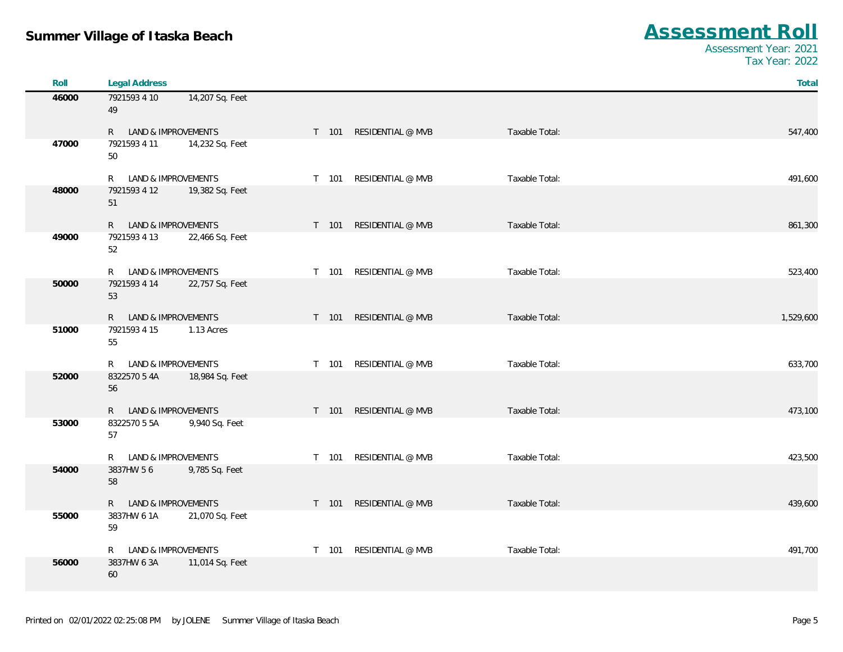| Roll  | <b>Legal Address</b>  |                 |       |                         |                | Total     |
|-------|-----------------------|-----------------|-------|-------------------------|----------------|-----------|
| 46000 | 7921593 4 10<br>49    | 14,207 Sq. Feet |       |                         |                |           |
|       | R LAND & IMPROVEMENTS |                 |       | T 101 RESIDENTIAL @ MVB | Taxable Total: | 547,400   |
| 47000 | 7921593 4 11<br>50    | 14,232 Sq. Feet |       |                         |                |           |
|       | R LAND & IMPROVEMENTS |                 | T 101 | RESIDENTIAL @ MVB       | Taxable Total: | 491,600   |
| 48000 | 7921593 4 12<br>51    | 19,382 Sq. Feet |       |                         |                |           |
|       | R LAND & IMPROVEMENTS |                 |       | T 101 RESIDENTIAL @ MVB | Taxable Total: | 861,300   |
| 49000 | 7921593 4 13<br>52    | 22,466 Sq. Feet |       |                         |                |           |
|       | R LAND & IMPROVEMENTS |                 | T 101 | RESIDENTIAL @ MVB       | Taxable Total: | 523,400   |
| 50000 | 7921593 4 14<br>53    | 22,757 Sq. Feet |       |                         |                |           |
|       | R LAND & IMPROVEMENTS |                 |       | T 101 RESIDENTIAL @ MVB | Taxable Total: | 1,529,600 |
| 51000 | 7921593 4 15<br>55    | 1.13 Acres      |       |                         |                |           |
|       | R LAND & IMPROVEMENTS |                 | T 101 | RESIDENTIAL @ MVB       | Taxable Total: | 633,700   |
| 52000 | 8322570 5 4A<br>56    | 18,984 Sq. Feet |       |                         |                |           |
|       | R LAND & IMPROVEMENTS |                 |       | T 101 RESIDENTIAL @ MVB | Taxable Total: | 473,100   |
| 53000 | 8322570 5 5A<br>57    | 9,940 Sq. Feet  |       |                         |                |           |
|       | R LAND & IMPROVEMENTS |                 |       | T 101 RESIDENTIAL @ MVB | Taxable Total: | 423,500   |
| 54000 | 3837HW 56<br>58       | 9,785 Sq. Feet  |       |                         |                |           |
|       | R LAND & IMPROVEMENTS |                 |       | T 101 RESIDENTIAL @ MVB | Taxable Total: | 439,600   |
| 55000 | 3837HW 6 1A<br>59     | 21,070 Sq. Feet |       |                         |                |           |
|       | R LAND & IMPROVEMENTS |                 | T 101 | RESIDENTIAL @ MVB       | Taxable Total: | 491,700   |
| 56000 | 3837HW 6 3A<br>60     | 11,014 Sq. Feet |       |                         |                |           |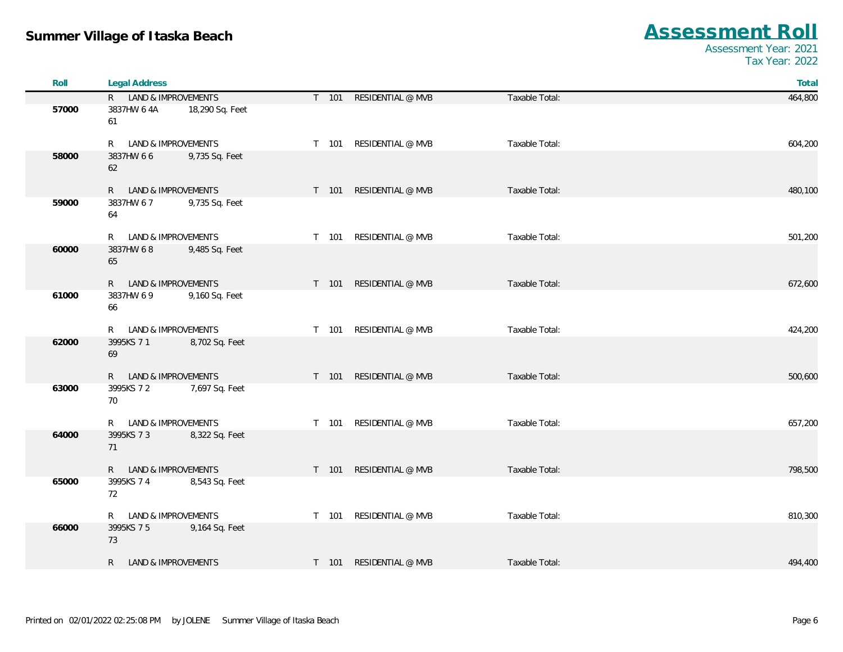| Roll  | <b>Legal Address</b>  |                 |  |                         |                |         |  |  |
|-------|-----------------------|-----------------|--|-------------------------|----------------|---------|--|--|
|       | R LAND & IMPROVEMENTS |                 |  | T 101 RESIDENTIAL @ MVB | Taxable Total: | 464,800 |  |  |
| 57000 | 3837HW 6 4A<br>61     | 18,290 Sq. Feet |  |                         |                |         |  |  |
|       | R LAND & IMPROVEMENTS |                 |  | T 101 RESIDENTIAL @ MVB | Taxable Total: | 604,200 |  |  |
| 58000 | 3837HW 66<br>62       | 9,735 Sq. Feet  |  |                         |                |         |  |  |
|       | R LAND & IMPROVEMENTS |                 |  | T 101 RESIDENTIAL @ MVB | Taxable Total: | 480,100 |  |  |
| 59000 | 3837HW 67<br>64       | 9,735 Sq. Feet  |  |                         |                |         |  |  |
|       | R LAND & IMPROVEMENTS |                 |  | T 101 RESIDENTIAL @ MVB | Taxable Total: | 501,200 |  |  |
| 60000 | 3837HW 68<br>65       | 9,485 Sq. Feet  |  |                         |                |         |  |  |
|       | R LAND & IMPROVEMENTS |                 |  | T 101 RESIDENTIAL @ MVB | Taxable Total: | 672,600 |  |  |
| 61000 | 3837HW 6 9<br>66      | 9,160 Sq. Feet  |  |                         |                |         |  |  |
|       | R LAND & IMPROVEMENTS |                 |  | T 101 RESIDENTIAL @ MVB | Taxable Total: | 424,200 |  |  |
| 62000 | 3995KS 7 1<br>69      | 8,702 Sq. Feet  |  |                         |                |         |  |  |
|       | R LAND & IMPROVEMENTS |                 |  | T 101 RESIDENTIAL @ MVB | Taxable Total: | 500,600 |  |  |
| 63000 | 3995KS 7 2<br>70      | 7,697 Sq. Feet  |  |                         |                |         |  |  |
|       | R LAND & IMPROVEMENTS |                 |  | T 101 RESIDENTIAL @ MVB | Taxable Total: | 657,200 |  |  |
| 64000 | 3995KS 7 3<br>71      | 8,322 Sq. Feet  |  |                         |                |         |  |  |
|       | R LAND & IMPROVEMENTS |                 |  | T 101 RESIDENTIAL @ MVB | Taxable Total: | 798,500 |  |  |
| 65000 | 3995KS 7 4<br>72      | 8,543 Sq. Feet  |  |                         |                |         |  |  |
|       | R LAND & IMPROVEMENTS |                 |  | T 101 RESIDENTIAL @ MVB | Taxable Total: | 810,300 |  |  |
| 66000 | 3995KS 7 5<br>73      | 9,164 Sq. Feet  |  |                         |                |         |  |  |
|       | R LAND & IMPROVEMENTS |                 |  | T 101 RESIDENTIAL @ MVB | Taxable Total: | 494,400 |  |  |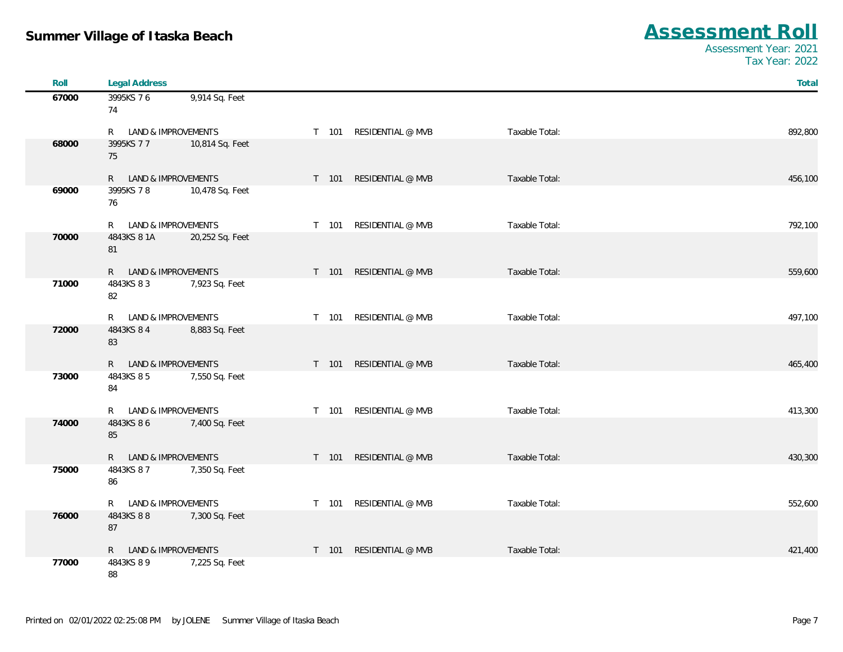| Roll  | <b>Legal Address</b>               |                 |       |                         |                | Total   |
|-------|------------------------------------|-----------------|-------|-------------------------|----------------|---------|
| 67000 | 3995KS 76                          | 9,914 Sq. Feet  |       |                         |                |         |
|       | 74                                 |                 |       |                         |                |         |
|       | R LAND & IMPROVEMENTS              |                 |       | T 101 RESIDENTIAL @ MVB | Taxable Total: | 892,800 |
| 68000 | 3995KS 77                          | 10,814 Sq. Feet |       |                         |                |         |
|       | 75                                 |                 |       |                         |                |         |
|       | R LAND & IMPROVEMENTS              |                 |       | T 101 RESIDENTIAL @ MVB | Taxable Total: | 456,100 |
| 69000 | 3995KS 78                          | 10,478 Sq. Feet |       |                         |                |         |
|       | 76                                 |                 |       |                         |                |         |
|       | R LAND & IMPROVEMENTS              |                 |       | T 101 RESIDENTIAL @ MVB | Taxable Total: | 792,100 |
| 70000 | 4843KS 8 1A                        | 20,252 Sq. Feet |       |                         |                |         |
|       | 81                                 |                 |       |                         |                |         |
|       |                                    |                 |       |                         |                |         |
| 71000 | R LAND & IMPROVEMENTS<br>4843KS 83 | 7,923 Sq. Feet  |       | T 101 RESIDENTIAL @ MVB | Taxable Total: | 559,600 |
|       | 82                                 |                 |       |                         |                |         |
|       |                                    |                 |       |                         |                |         |
| 72000 | R LAND & IMPROVEMENTS<br>4843KS 84 | 8,883 Sq. Feet  |       | T 101 RESIDENTIAL @ MVB | Taxable Total: | 497,100 |
|       | 83                                 |                 |       |                         |                |         |
|       |                                    |                 |       |                         |                |         |
|       | R LAND & IMPROVEMENTS              |                 |       | T 101 RESIDENTIAL @ MVB | Taxable Total: | 465,400 |
| 73000 | 4843KS 85<br>84                    | 7,550 Sq. Feet  |       |                         |                |         |
|       |                                    |                 |       |                         |                |         |
|       | R LAND & IMPROVEMENTS              |                 |       | T 101 RESIDENTIAL @ MVB | Taxable Total: | 413,300 |
| 74000 | 4843KS 86                          | 7,400 Sq. Feet  |       |                         |                |         |
|       | 85                                 |                 |       |                         |                |         |
|       | R LAND & IMPROVEMENTS              |                 | T 101 | RESIDENTIAL @ MVB       | Taxable Total: | 430,300 |
| 75000 | 4843KS 87                          | 7,350 Sq. Feet  |       |                         |                |         |
|       | 86                                 |                 |       |                         |                |         |
|       | R LAND & IMPROVEMENTS              |                 |       | T 101 RESIDENTIAL @ MVB | Taxable Total: | 552,600 |
| 76000 | 4843KS 88                          | 7,300 Sq. Feet  |       |                         |                |         |
|       | 87                                 |                 |       |                         |                |         |
|       | R LAND & IMPROVEMENTS              |                 | T 101 | RESIDENTIAL @ MVB       | Taxable Total: | 421,400 |
| 77000 | 4843KS 8 9                         | 7,225 Sq. Feet  |       |                         |                |         |
|       | 88                                 |                 |       |                         |                |         |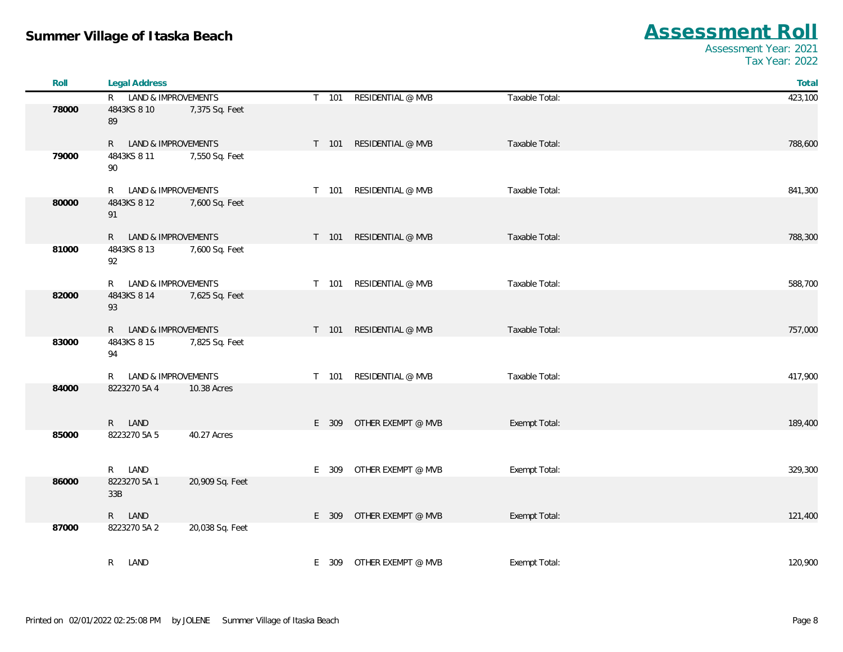| Roll  | <b>Legal Address</b>     |                 |       |                          |                | Total   |
|-------|--------------------------|-----------------|-------|--------------------------|----------------|---------|
|       | R LAND & IMPROVEMENTS    |                 | T 101 | RESIDENTIAL @ MVB        | Taxable Total: | 423,100 |
| 78000 | 4843KS 8 10<br>89        | 7,375 Sq. Feet  |       |                          |                |         |
|       | LAND & IMPROVEMENTS<br>R |                 | T 101 | RESIDENTIAL @ MVB        | Taxable Total: | 788,600 |
| 79000 | 4843KS 8 11<br>90        | 7,550 Sq. Feet  |       |                          |                |         |
|       | LAND & IMPROVEMENTS<br>R |                 | T 101 | RESIDENTIAL @ MVB        | Taxable Total: | 841,300 |
| 80000 | 4843KS 8 12<br>91        | 7,600 Sq. Feet  |       |                          |                |         |
|       | R LAND & IMPROVEMENTS    |                 | T 101 | RESIDENTIAL @ MVB        | Taxable Total: | 788,300 |
| 81000 | 4843KS 8 13<br>92        | 7,600 Sq. Feet  |       |                          |                |         |
|       | LAND & IMPROVEMENTS<br>R |                 | T 101 | RESIDENTIAL @ MVB        | Taxable Total: | 588,700 |
| 82000 | 4843KS 8 14<br>93        | 7,625 Sq. Feet  |       |                          |                |         |
|       | R LAND & IMPROVEMENTS    |                 |       | T 101 RESIDENTIAL @ MVB  | Taxable Total: | 757,000 |
| 83000 | 4843KS 8 15<br>94        | 7,825 Sq. Feet  |       |                          |                |         |
|       | LAND & IMPROVEMENTS<br>R |                 | T 101 | RESIDENTIAL @ MVB        | Taxable Total: | 417,900 |
| 84000 | 8223270 5A 4             | 10.38 Acres     |       |                          |                |         |
|       | R LAND                   |                 | E 309 | OTHER EXEMPT @ MVB       | Exempt Total:  | 189,400 |
| 85000 | 8223270 5A 5             | 40.27 Acres     |       |                          |                |         |
|       | LAND<br>R                |                 | E 309 | OTHER EXEMPT @ MVB       | Exempt Total:  | 329,300 |
| 86000 | 8223270 5A 1<br>33B      | 20,909 Sq. Feet |       |                          |                |         |
|       | R LAND                   |                 | E 309 | OTHER EXEMPT @ MVB       | Exempt Total:  | 121,400 |
| 87000 | 8223270 5A 2             | 20,038 Sq. Feet |       |                          |                |         |
|       | LAND<br>R                |                 |       | E 309 OTHER EXEMPT @ MVB | Exempt Total:  | 120,900 |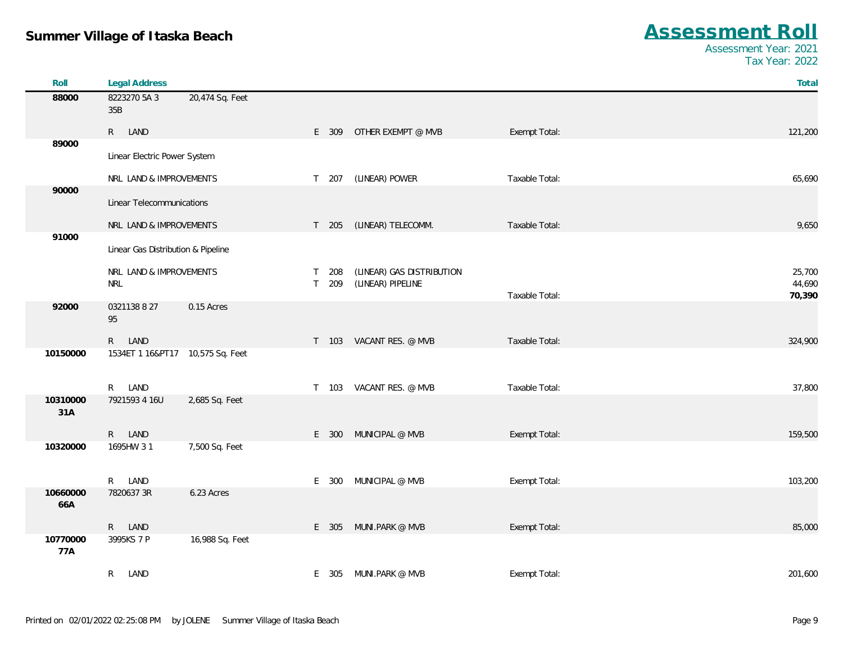| Roll            | <b>Legal Address</b>               |                 |              |       |                           |                | Total            |
|-----------------|------------------------------------|-----------------|--------------|-------|---------------------------|----------------|------------------|
| 88000           | 8223270 5A 3<br>35B                | 20,474 Sq. Feet |              |       |                           |                |                  |
|                 | R LAND                             |                 |              | E 309 | OTHER EXEMPT @ MVB        | Exempt Total:  | 121,200          |
| 89000           | Linear Electric Power System       |                 |              |       |                           |                |                  |
|                 | NRL LAND & IMPROVEMENTS            |                 |              | T 207 | (LINEAR) POWER            | Taxable Total: | 65,690           |
| 90000           | Linear Telecommunications          |                 |              |       |                           |                |                  |
|                 | NRL LAND & IMPROVEMENTS            |                 |              | T 205 | (LINEAR) TELECOMM.        | Taxable Total: | 9,650            |
| 91000           | Linear Gas Distribution & Pipeline |                 |              |       |                           |                |                  |
|                 | NRL LAND & IMPROVEMENTS            |                 | $\mathsf{T}$ | 208   | (LINEAR) GAS DISTRIBUTION |                | 25,700           |
|                 | <b>NRL</b>                         |                 | T            | 209   | (LINEAR) PIPELINE         | Taxable Total: | 44,690<br>70,390 |
| 92000           | 0321138 8 27<br>95                 | 0.15 Acres      |              |       |                           |                |                  |
|                 | R LAND                             |                 |              | T 103 | VACANT RES. @ MVB         | Taxable Total: | 324,900          |
| 10150000        | 1534ET 1 16&PT17  10,575 Sq. Feet  |                 |              |       |                           |                |                  |
|                 | R LAND                             |                 | $\mathsf{T}$ | 103   | VACANT RES. @ MVB         | Taxable Total: | 37,800           |
| 10310000<br>31A | 7921593 4 16U                      | 2,685 Sq. Feet  |              |       |                           |                |                  |
|                 | R LAND                             |                 |              | E 300 | MUNICIPAL @ MVB           | Exempt Total:  | 159,500          |
| 10320000        | 1695HW 31                          | 7,500 Sq. Feet  |              |       |                           |                |                  |
|                 | R LAND                             |                 |              | E 300 | MUNICIPAL @ MVB           | Exempt Total:  | 103,200          |
| 10660000<br>66A | 7820637 3R                         | 6.23 Acres      |              |       |                           |                |                  |
|                 | R LAND                             |                 |              | E 305 | Muni.Park @ MVB           | Exempt Total:  | 85,000           |
| 10770000<br>77A | 3995KS 7 P                         | 16,988 Sq. Feet |              |       |                           |                |                  |
|                 | $R_{\parallel}$<br>LAND            |                 |              |       | E 305 MUNI.PARK @ MVB     | Exempt Total:  | 201,600          |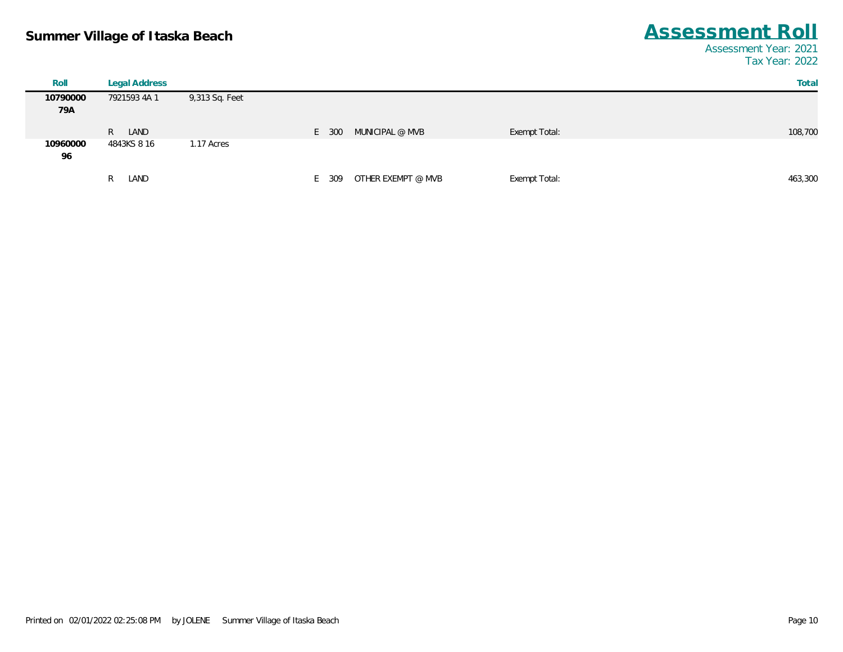| Total   |               |                    |           |                | Legal Address | Roll            |
|---------|---------------|--------------------|-----------|----------------|---------------|-----------------|
|         |               |                    |           | 9,313 Sq. Feet | 7921593 4A 1  | 10790000<br>79A |
| 108,700 | Exempt Total: | MUNICIPAL @ MVB    | E 300     |                | LAND<br>R     |                 |
|         |               |                    |           | 1.17 Acres     | 4843KS 8 16   | 10960000<br>96  |
| 463,300 | Exempt Total: | OTHER EXEMPT @ MVB | 309<br>F. |                | LAND<br>R     |                 |